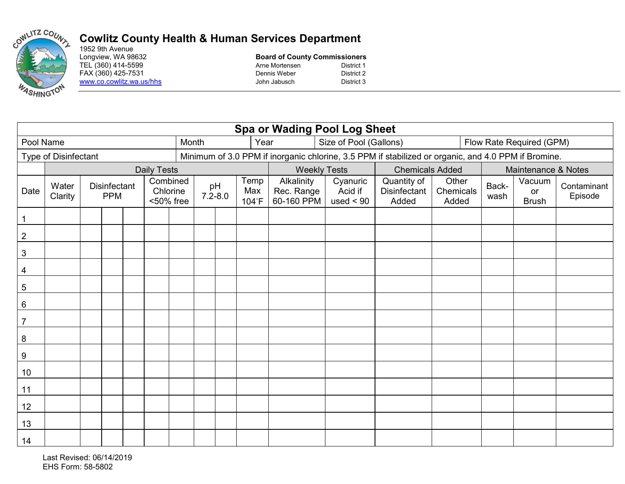

## **Cowlitz County Health & Human Services Department**

1952 9th Avenue<br>Longview, WA 98632 www.co.cowlitz.wa.us/hhs John Jabusch

## **Board of County Commissioners** TEL (360) 414-5599 **Arne** Mortensen District 1 FAX (360) 425-7531 Dennis Weber District 2<br>
Www.co.cowlitz.wa.us/hhs District 3

| <b>Spa or Wading Pool Log Sheet</b> |                  |                                                                 |  |  |                                                                                                     |                   |       |                      |                                        |                                    |                                      |                             |                     |                              |                        |  |
|-------------------------------------|------------------|-----------------------------------------------------------------|--|--|-----------------------------------------------------------------------------------------------------|-------------------|-------|----------------------|----------------------------------------|------------------------------------|--------------------------------------|-----------------------------|---------------------|------------------------------|------------------------|--|
| Pool Name                           |                  |                                                                 |  |  |                                                                                                     |                   | Month |                      | Year                                   |                                    | Size of Pool (Gallons)               | Flow Rate Required (GPM)    |                     |                              |                        |  |
| Type of Disinfectant                |                  |                                                                 |  |  | Minimum of 3.0 PPM if inorganic chlorine, 3.5 PPM if stabilized or organic, and 4.0 PPM if Bromine. |                   |       |                      |                                        |                                    |                                      |                             |                     |                              |                        |  |
|                                     |                  |                                                                 |  |  | <b>Daily Tests</b>                                                                                  |                   |       |                      |                                        | <b>Weekly Tests</b>                |                                      | <b>Chemicals Added</b>      | Maintenance & Notes |                              |                        |  |
| Date                                | Water<br>Clarity | Combined<br>Disinfectant<br>Chlorine<br><b>PPM</b><br><50% free |  |  |                                                                                                     | pH<br>$7.2 - 8.0$ |       | Temp<br>Max<br>104°F | Alkalinity<br>Rec. Range<br>60-160 PPM | Cyanuric<br>Acid if<br>used $< 90$ | Quantity of<br>Disinfectant<br>Added | Other<br>Chemicals<br>Added | Back-<br>wash       | Vacuum<br>or<br><b>Brush</b> | Contaminant<br>Episode |  |
| $\mathbf{1}$                        |                  |                                                                 |  |  |                                                                                                     |                   |       |                      |                                        |                                    |                                      |                             |                     |                              |                        |  |
| $\mathbf 2$                         |                  |                                                                 |  |  |                                                                                                     |                   |       |                      |                                        |                                    |                                      |                             |                     |                              |                        |  |
| $\sqrt{3}$                          |                  |                                                                 |  |  |                                                                                                     |                   |       |                      |                                        |                                    |                                      |                             |                     |                              |                        |  |
| 4                                   |                  |                                                                 |  |  |                                                                                                     |                   |       |                      |                                        |                                    |                                      |                             |                     |                              |                        |  |
| 5                                   |                  |                                                                 |  |  |                                                                                                     |                   |       |                      |                                        |                                    |                                      |                             |                     |                              |                        |  |
| 6                                   |                  |                                                                 |  |  |                                                                                                     |                   |       |                      |                                        |                                    |                                      |                             |                     |                              |                        |  |
| $\overline{7}$                      |                  |                                                                 |  |  |                                                                                                     |                   |       |                      |                                        |                                    |                                      |                             |                     |                              |                        |  |
| $\bf 8$                             |                  |                                                                 |  |  |                                                                                                     |                   |       |                      |                                        |                                    |                                      |                             |                     |                              |                        |  |
| $\boldsymbol{9}$                    |                  |                                                                 |  |  |                                                                                                     |                   |       |                      |                                        |                                    |                                      |                             |                     |                              |                        |  |
| 10                                  |                  |                                                                 |  |  |                                                                                                     |                   |       |                      |                                        |                                    |                                      |                             |                     |                              |                        |  |
| 11                                  |                  |                                                                 |  |  |                                                                                                     |                   |       |                      |                                        |                                    |                                      |                             |                     |                              |                        |  |
| 12                                  |                  |                                                                 |  |  |                                                                                                     |                   |       |                      |                                        |                                    |                                      |                             |                     |                              |                        |  |
| 13                                  |                  |                                                                 |  |  |                                                                                                     |                   |       |                      |                                        |                                    |                                      |                             |                     |                              |                        |  |
| 14                                  |                  |                                                                 |  |  |                                                                                                     |                   |       |                      |                                        |                                    |                                      |                             |                     |                              |                        |  |